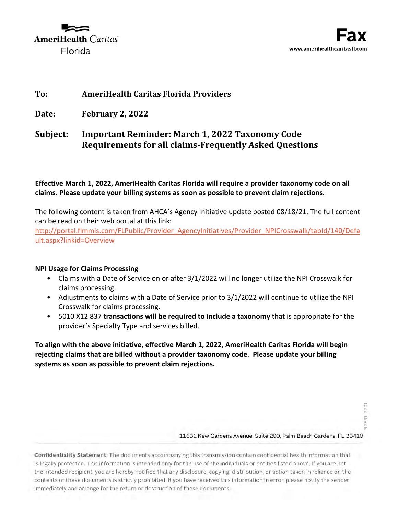

# **To: AmeriHealth Caritas Florida Providers**

**Date: February 2, 2022**

# **Subject: Important Reminder: March 1, 2022 Taxonomy Code Requirements for all claims-Frequently Asked Questions**

## **Effective March 1, 2022, AmeriHealth Caritas Florida will require a provider taxonomy code on all claims. Please update your billing systems as soon as possible to prevent claim rejections.**

The following content is taken from AHCA's Agency Initiative update posted 08/18/21. The full content can be read on their web portal at this link:

[http://portal.flmmis.com/FLPublic/Provider\\_AgencyInitiatives/Provider\\_NPICrosswalk/tabId/140/Defa](http://portal.flmmis.com/FLPublic/Provider_AgencyInitiatives/Provider_NPICrosswalk/tabId/140/Default.aspx?linkid=Overview) [ult.aspx?linkid=Overview](http://portal.flmmis.com/FLPublic/Provider_AgencyInitiatives/Provider_NPICrosswalk/tabId/140/Default.aspx?linkid=Overview)

### **NPI Usage for Claims Processing**

- Claims with a Date of Service on or after 3/1/2022 will no longer utilize the NPI Crosswalk for claims processing.
- Adjustments to claims with a Date of Service prior to 3/1/2022 will continue to utilize the NPI Crosswalk for claims processing.
- 5010 X12 837 **transactions will be required to include a taxonomy** that is appropriate for the provider's Specialty Type and services billed.

**To align with the above initiative, effective March 1, 2022, AmeriHealth Caritas Florida will begin rejecting claims that are billed without a provider taxonomy code**. **Please update your billing systems as soon as possible to prevent claim rejections.** 

Confidentiality Statement: The documents accompanying this transmission contain confidential health information that is legally protected. This information is intended only for the use of the individuals or entities listed above. If you are not the intended recipient, you are hereby notified that any disclosure, copying, distribution, or action taken in reliance on the contents of these documents is strictly prohibited. If you have received this information in error, please notify the sender immediately and arrange for the return or destruction of these documents.